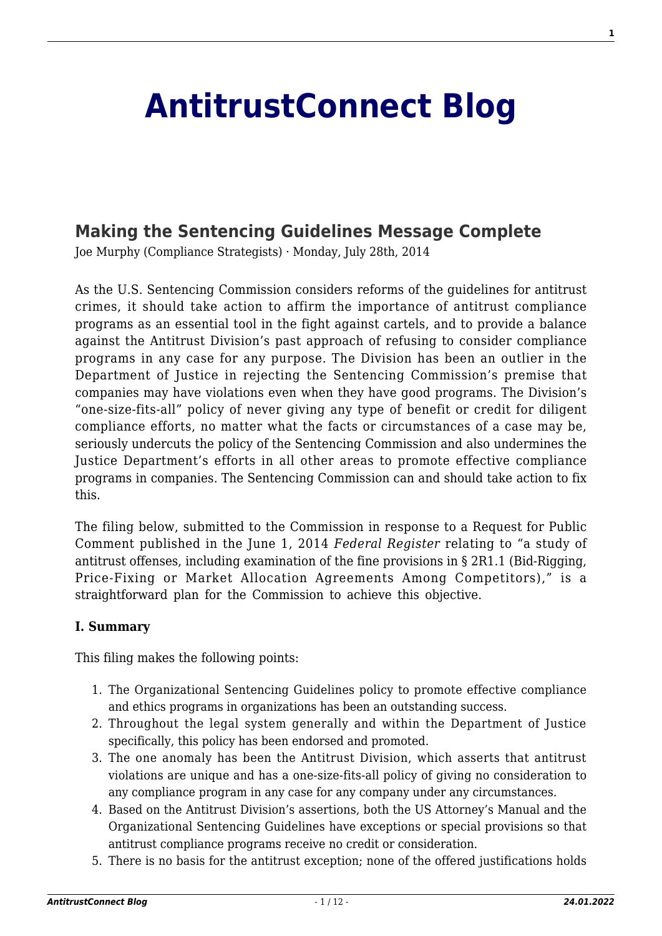# **[AntitrustConnect Blog](http://antitrustconnect.com/)**

# **[Making the Sentencing Guidelines Message Complete](http://antitrustconnect.com/2014/07/28/making-the-sentencing-guidelines-message-complete/)**

Joe Murphy (Compliance Strategists) · Monday, July 28th, 2014

As the U.S. Sentencing Commission considers reforms of the guidelines for antitrust crimes, it should take action to affirm the importance of antitrust compliance programs as an essential tool in the fight against cartels, and to provide a balance against the Antitrust Division's past approach of refusing to consider compliance programs in any case for any purpose. The Division has been an outlier in the Department of Justice in rejecting the Sentencing Commission's premise that companies may have violations even when they have good programs. The Division's "one-size-fits-all" policy of never giving any type of benefit or credit for diligent compliance efforts, no matter what the facts or circumstances of a case may be, seriously undercuts the policy of the Sentencing Commission and also undermines the Justice Department's efforts in all other areas to promote effective compliance programs in companies. The Sentencing Commission can and should take action to fix this.

The filing below, submitted to the Commission in response to a Request for Public Comment published in the June 1, 2014 *Federal Register* relating to "a study of antitrust offenses, including examination of the fine provisions in § 2R1.1 (Bid-Rigging, Price-Fixing or Market Allocation Agreements Among Competitors)," is a straightforward plan for the Commission to achieve this objective.

#### **I. Summary**

This filing makes the following points:

- 1. The Organizational Sentencing Guidelines policy to promote effective compliance and ethics programs in organizations has been an outstanding success.
- 2. Throughout the legal system generally and within the Department of Justice specifically, this policy has been endorsed and promoted.
- 3. The one anomaly has been the Antitrust Division, which asserts that antitrust violations are unique and has a one-size-fits-all policy of giving no consideration to any compliance program in any case for any company under any circumstances.
- 4. Based on the Antitrust Division's assertions, both the US Attorney's Manual and the Organizational Sentencing Guidelines have exceptions or special provisions so that antitrust compliance programs receive no credit or consideration.
- 5. There is no basis for the antitrust exception; none of the offered justifications holds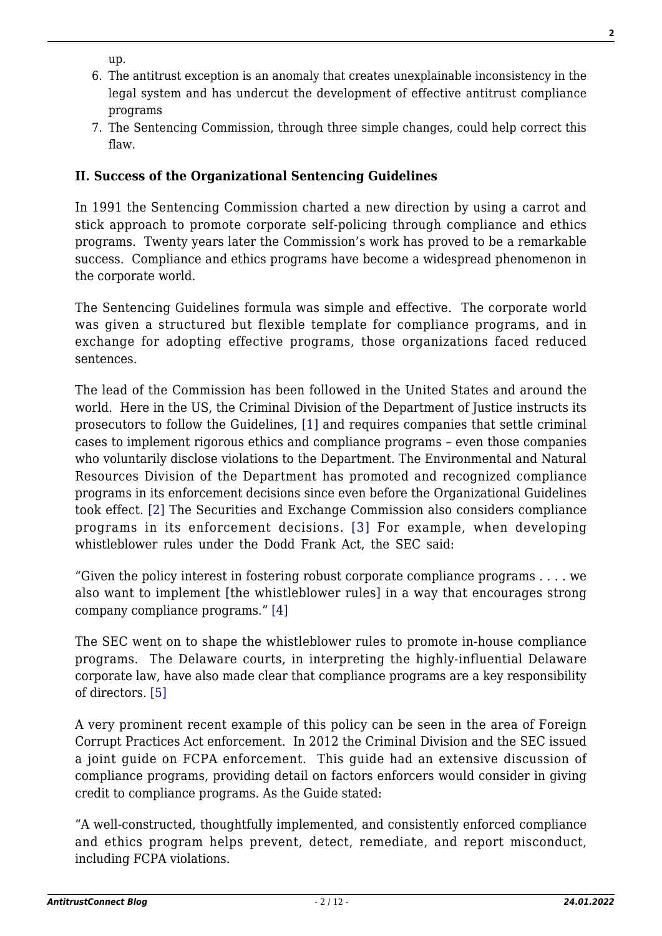up.

- 6. The antitrust exception is an anomaly that creates unexplainable inconsistency in the legal system and has undercut the development of effective antitrust compliance programs
- 7. The Sentencing Commission, through three simple changes, could help correct this flaw.

# **II. Success of the Organizational Sentencing Guidelines**

In 1991 the Sentencing Commission charted a new direction by using a carrot and stick approach to promote corporate self-policing through compliance and ethics programs. Twenty years later the Commission's work has proved to be a remarkable success. Compliance and ethics programs have become a widespread phenomenon in the corporate world.

The Sentencing Guidelines formula was simple and effective. The corporate world was given a structured but flexible template for compliance programs, and in exchange for adopting effective programs, those organizations faced reduced sentences.

The lead of the Commission has been followed in the United States and around the world. Here in the US, the Criminal Division of the Department of Justice instructs its prosecutors to follow the Guidelines, [\[1\]](#page-8-0) and requires companies that settle criminal cases to implement rigorous ethics and compliance programs – even those companies who voluntarily disclose violations to the Department. The Environmental and Natural Resources Division of the Department has promoted and recognized compliance programs in its enforcement decisions since even before the Organizational Guidelines took effect[. \[2\]](#page-8-1) The Securities and Exchange Commission also considers compliance programs in its enforcement decisions. [\[3\]](#page-8-2) For example, when developing whistleblower rules under the Dodd Frank Act, the SEC said:

"Given the policy interest in fostering robust corporate compliance programs . . . . we also want to implement [the whistleblower rules] in a way that encourages strong company compliance programs.[" \[4\]](#page-8-3)

The SEC went on to shape the whistleblower rules to promote in-house compliance programs. The Delaware courts, in interpreting the highly-influential Delaware corporate law, have also made clear that compliance programs are a key responsibility of directors. [\[5\]](#page-9-0)

A very prominent recent example of this policy can be seen in the area of Foreign Corrupt Practices Act enforcement. In 2012 the Criminal Division and the SEC issued a joint guide on FCPA enforcement. This guide had an extensive discussion of compliance programs, providing detail on factors enforcers would consider in giving credit to compliance programs. As the Guide stated:

"A well-constructed, thoughtfully implemented, and consistently enforced compliance and ethics program helps prevent, detect, remediate, and report misconduct, including FCPA violations.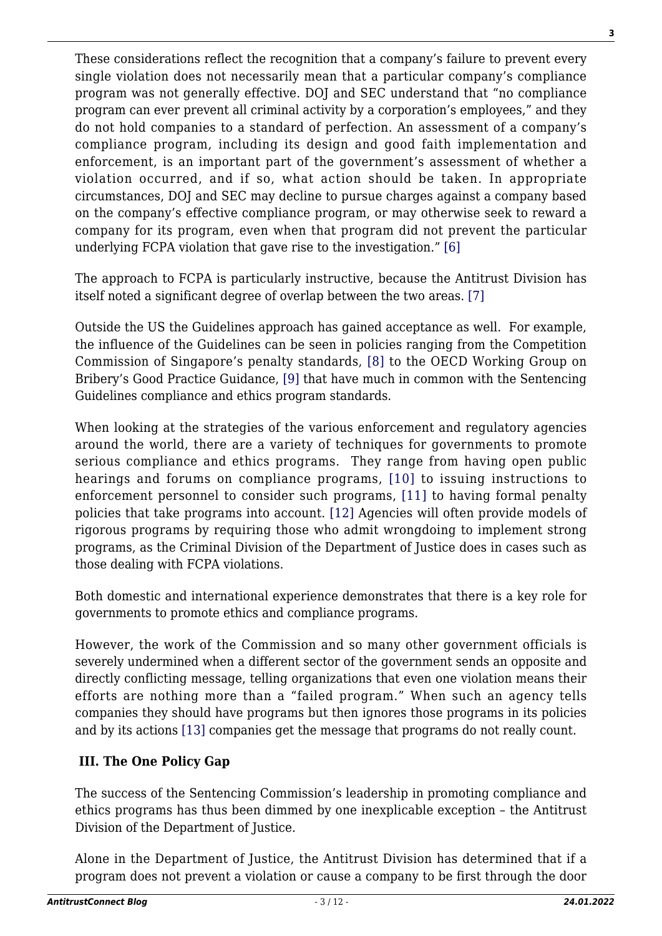These considerations reflect the recognition that a company's failure to prevent every single violation does not necessarily mean that a particular company's compliance program was not generally effective. DOJ and SEC understand that "no compliance program can ever prevent all criminal activity by a corporation's employees," and they do not hold companies to a standard of perfection. An assessment of a company's compliance program, including its design and good faith implementation and enforcement, is an important part of the government's assessment of whether a violation occurred, and if so, what action should be taken. In appropriate circumstances, DOJ and SEC may decline to pursue charges against a company based on the company's effective compliance program, or may otherwise seek to reward a company for its program, even when that program did not prevent the particular underlying FCPA violation that gave rise to the investigation.[" \[6\]](#page-9-1)

The approach to FCPA is particularly instructive, because the Antitrust Division has itself noted a significant degree of overlap between the two areas. [\[7\]](#page-9-2)

Outside the US the Guidelines approach has gained acceptance as well. For example, the influence of the Guidelines can be seen in policies ranging from the Competition Commission of Singapore's penalty standards, [\[8\]](#page-9-3) to the OECD Working Group on Bribery's Good Practice Guidance[, \[9\]](#page-9-4) that have much in common with the Sentencing Guidelines compliance and ethics program standards.

When looking at the strategies of the various enforcement and regulatory agencies around the world, there are a variety of techniques for governments to promote serious compliance and ethics programs. They range from having open public hearings and forums on compliance programs, [\[10\]](#page-9-5) to issuing instructions to enforcement personnel to consider such programs, [\[11\]](#page-9-6) to having formal penalty policies that take programs into account. [\[12\]](#page-10-0) Agencies will often provide models of rigorous programs by requiring those who admit wrongdoing to implement strong programs, as the Criminal Division of the Department of Justice does in cases such as those dealing with FCPA violations.

Both domestic and international experience demonstrates that there is a key role for governments to promote ethics and compliance programs.

However, the work of the Commission and so many other government officials is severely undermined when a different sector of the government sends an opposite and directly conflicting message, telling organizations that even one violation means their efforts are nothing more than a "failed program." When such an agency tells companies they should have programs but then ignores those programs in its policies and by its action[s \[13\]](#page-10-1) companies get the message that programs do not really count.

# **III. The One Policy Gap**

The success of the Sentencing Commission's leadership in promoting compliance and ethics programs has thus been dimmed by one inexplicable exception – the Antitrust Division of the Department of Justice.

Alone in the Department of Justice, the Antitrust Division has determined that if a program does not prevent a violation or cause a company to be first through the door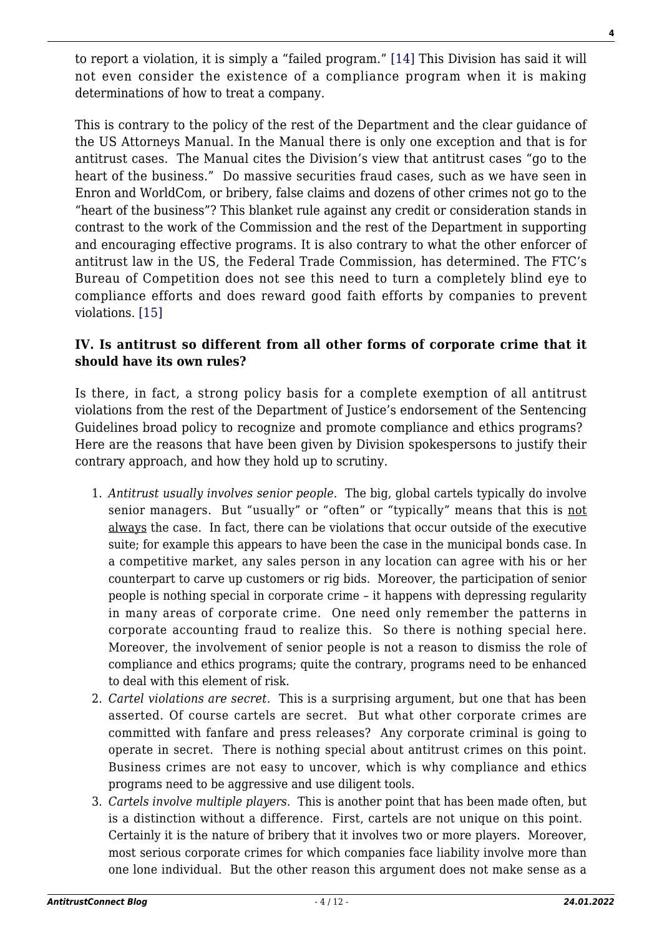to report a violation, it is simply a "failed program." [\[14\]](#page-10-2) This Division has said it will not even consider the existence of a compliance program when it is making determinations of how to treat a company.

This is contrary to the policy of the rest of the Department and the clear guidance of the US Attorneys Manual. In the Manual there is only one exception and that is for antitrust cases. The Manual cites the Division's view that antitrust cases "go to the heart of the business." Do massive securities fraud cases, such as we have seen in Enron and WorldCom, or bribery, false claims and dozens of other crimes not go to the "heart of the business"? This blanket rule against any credit or consideration stands in contrast to the work of the Commission and the rest of the Department in supporting and encouraging effective programs. It is also contrary to what the other enforcer of antitrust law in the US, the Federal Trade Commission, has determined. The FTC's Bureau of Competition does not see this need to turn a completely blind eye to compliance efforts and does reward good faith efforts by companies to prevent violations. [\[15\]](#page-10-3)

#### **IV. Is antitrust so different from all other forms of corporate crime that it should have its own rules?**

Is there, in fact, a strong policy basis for a complete exemption of all antitrust violations from the rest of the Department of Justice's endorsement of the Sentencing Guidelines broad policy to recognize and promote compliance and ethics programs? Here are the reasons that have been given by Division spokespersons to justify their contrary approach, and how they hold up to scrutiny.

- 1. *Antitrust usually involves senior people.* The big, global cartels typically do involve senior managers. But "usually" or "often" or "typically" means that this is not always the case. In fact, there can be violations that occur outside of the executive suite; for example this appears to have been the case in the municipal bonds case. In a competitive market, any sales person in any location can agree with his or her counterpart to carve up customers or rig bids. Moreover, the participation of senior people is nothing special in corporate crime – it happens with depressing regularity in many areas of corporate crime. One need only remember the patterns in corporate accounting fraud to realize this. So there is nothing special here. Moreover, the involvement of senior people is not a reason to dismiss the role of compliance and ethics programs; quite the contrary, programs need to be enhanced to deal with this element of risk.
- 2. *Cartel violations are secret.* This is a surprising argument, but one that has been asserted. Of course cartels are secret. But what other corporate crimes are committed with fanfare and press releases? Any corporate criminal is going to operate in secret. There is nothing special about antitrust crimes on this point. Business crimes are not easy to uncover, which is why compliance and ethics programs need to be aggressive and use diligent tools.
- 3. *Cartels involve multiple players.* This is another point that has been made often, but is a distinction without a difference. First, cartels are not unique on this point. Certainly it is the nature of bribery that it involves two or more players. Moreover, most serious corporate crimes for which companies face liability involve more than one lone individual. But the other reason this argument does not make sense as a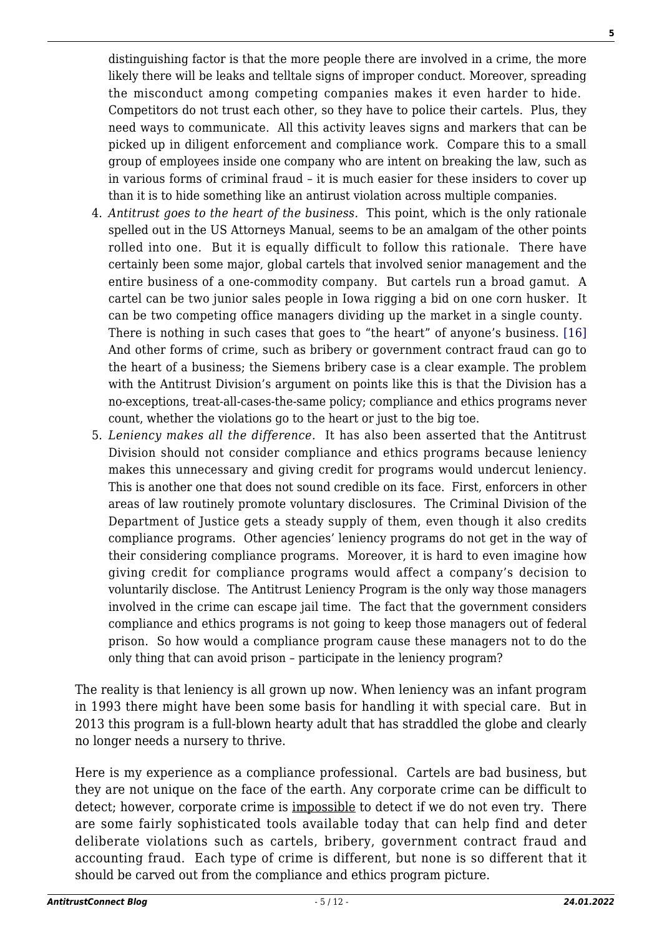distinguishing factor is that the more people there are involved in a crime, the more likely there will be leaks and telltale signs of improper conduct. Moreover, spreading the misconduct among competing companies makes it even harder to hide. Competitors do not trust each other, so they have to police their cartels. Plus, they need ways to communicate. All this activity leaves signs and markers that can be picked up in diligent enforcement and compliance work. Compare this to a small group of employees inside one company who are intent on breaking the law, such as in various forms of criminal fraud – it is much easier for these insiders to cover up than it is to hide something like an antirust violation across multiple companies.

- 4. *Antitrust goes to the heart of the business.* This point, which is the only rationale spelled out in the US Attorneys Manual, seems to be an amalgam of the other points rolled into one. But it is equally difficult to follow this rationale. There have certainly been some major, global cartels that involved senior management and the entire business of a one-commodity company. But cartels run a broad gamut. A cartel can be two junior sales people in Iowa rigging a bid on one corn husker. It can be two competing office managers dividing up the market in a single county. There is nothing in such cases that goes to "the heart" of anyone's business. [\[16\]](#page-10-4) And other forms of crime, such as bribery or government contract fraud can go to the heart of a business; the Siemens bribery case is a clear example. The problem with the Antitrust Division's argument on points like this is that the Division has a no-exceptions, treat-all-cases-the-same policy; compliance and ethics programs never count, whether the violations go to the heart or just to the big toe.
- 5. *Leniency makes all the difference.* It has also been asserted that the Antitrust Division should not consider compliance and ethics programs because leniency makes this unnecessary and giving credit for programs would undercut leniency. This is another one that does not sound credible on its face. First, enforcers in other areas of law routinely promote voluntary disclosures. The Criminal Division of the Department of Justice gets a steady supply of them, even though it also credits compliance programs. Other agencies' leniency programs do not get in the way of their considering compliance programs. Moreover, it is hard to even imagine how giving credit for compliance programs would affect a company's decision to voluntarily disclose. The Antitrust Leniency Program is the only way those managers involved in the crime can escape jail time. The fact that the government considers compliance and ethics programs is not going to keep those managers out of federal prison. So how would a compliance program cause these managers not to do the only thing that can avoid prison – participate in the leniency program?

The reality is that leniency is all grown up now. When leniency was an infant program in 1993 there might have been some basis for handling it with special care. But in 2013 this program is a full-blown hearty adult that has straddled the globe and clearly no longer needs a nursery to thrive.

Here is my experience as a compliance professional. Cartels are bad business, but they are not unique on the face of the earth. Any corporate crime can be difficult to detect; however, corporate crime is impossible to detect if we do not even try. There are some fairly sophisticated tools available today that can help find and deter deliberate violations such as cartels, bribery, government contract fraud and accounting fraud. Each type of crime is different, but none is so different that it should be carved out from the compliance and ethics program picture.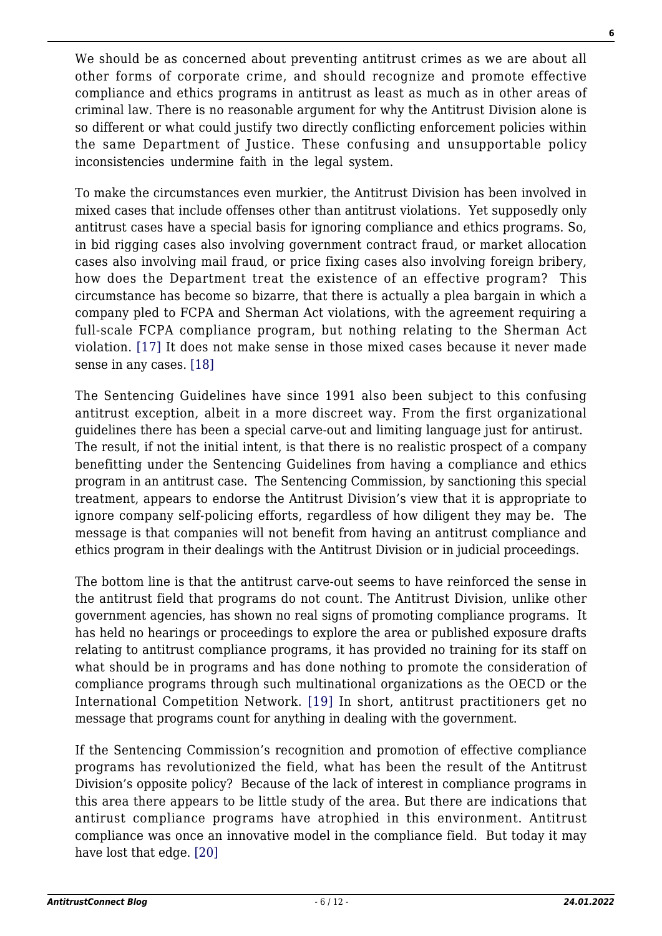We should be as concerned about preventing antitrust crimes as we are about all other forms of corporate crime, and should recognize and promote effective compliance and ethics programs in antitrust as least as much as in other areas of criminal law. There is no reasonable argument for why the Antitrust Division alone is so different or what could justify two directly conflicting enforcement policies within the same Department of Justice. These confusing and unsupportable policy inconsistencies undermine faith in the legal system.

To make the circumstances even murkier, the Antitrust Division has been involved in mixed cases that include offenses other than antitrust violations. Yet supposedly only antitrust cases have a special basis for ignoring compliance and ethics programs. So, in bid rigging cases also involving government contract fraud, or market allocation cases also involving mail fraud, or price fixing cases also involving foreign bribery, how does the Department treat the existence of an effective program? This circumstance has become so bizarre, that there is actually a plea bargain in which a company pled to FCPA and Sherman Act violations, with the agreement requiring a full-scale FCPA compliance program, but nothing relating to the Sherman Act violation. [\[17\]](#page-10-5) It does not make sense in those mixed cases because it never made sense in any cases. [\[18\]](#page-10-6)

The Sentencing Guidelines have since 1991 also been subject to this confusing antitrust exception, albeit in a more discreet way. From the first organizational guidelines there has been a special carve-out and limiting language just for antirust. The result, if not the initial intent, is that there is no realistic prospect of a company benefitting under the Sentencing Guidelines from having a compliance and ethics program in an antitrust case. The Sentencing Commission, by sanctioning this special treatment, appears to endorse the Antitrust Division's view that it is appropriate to ignore company self-policing efforts, regardless of how diligent they may be. The message is that companies will not benefit from having an antitrust compliance and ethics program in their dealings with the Antitrust Division or in judicial proceedings.

The bottom line is that the antitrust carve-out seems to have reinforced the sense in the antitrust field that programs do not count. The Antitrust Division, unlike other government agencies, has shown no real signs of promoting compliance programs. It has held no hearings or proceedings to explore the area or published exposure drafts relating to antitrust compliance programs, it has provided no training for its staff on what should be in programs and has done nothing to promote the consideration of compliance programs through such multinational organizations as the OECD or the International Competition Network. [\[19\]](#page-11-0) In short, antitrust practitioners get no message that programs count for anything in dealing with the government.

If the Sentencing Commission's recognition and promotion of effective compliance programs has revolutionized the field, what has been the result of the Antitrust Division's opposite policy? Because of the lack of interest in compliance programs in this area there appears to be little study of the area. But there are indications that antirust compliance programs have atrophied in this environment. Antitrust compliance was once an innovative model in the compliance field. But today it may have lost that edge. [\[20\]](#page-11-1)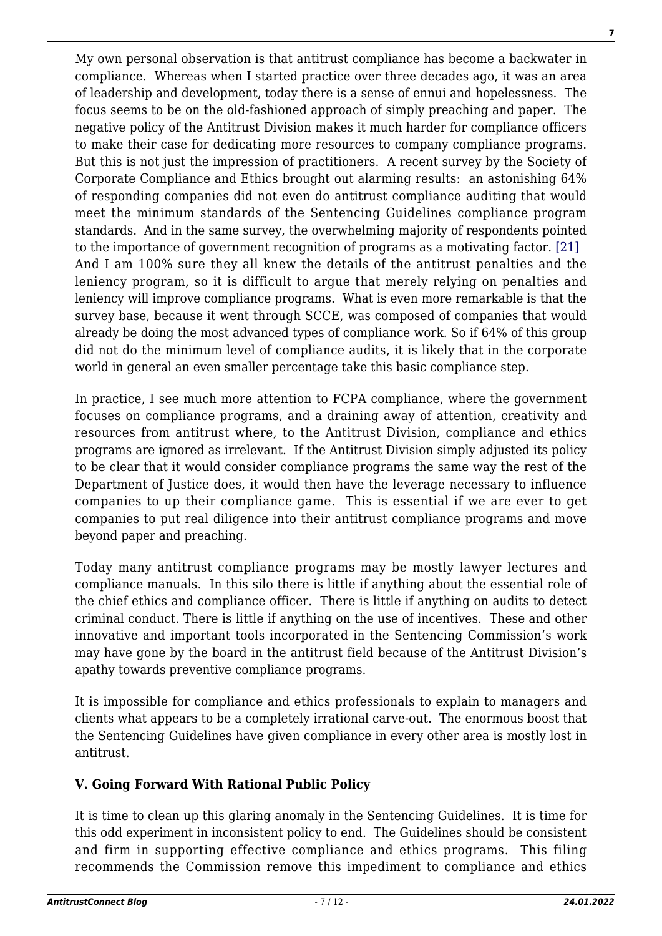My own personal observation is that antitrust compliance has become a backwater in compliance. Whereas when I started practice over three decades ago, it was an area of leadership and development, today there is a sense of ennui and hopelessness. The focus seems to be on the old-fashioned approach of simply preaching and paper. The negative policy of the Antitrust Division makes it much harder for compliance officers to make their case for dedicating more resources to company compliance programs. But this is not just the impression of practitioners. A recent survey by the Society of Corporate Compliance and Ethics brought out alarming results: an astonishing 64% of responding companies did not even do antitrust compliance auditing that would meet the minimum standards of the Sentencing Guidelines compliance program standards. And in the same survey, the overwhelming majority of respondents pointed to the importance of government recognition of programs as a motivating factor[. \[21\]](#page-11-2) And I am 100% sure they all knew the details of the antitrust penalties and the leniency program, so it is difficult to argue that merely relying on penalties and leniency will improve compliance programs. What is even more remarkable is that the survey base, because it went through SCCE, was composed of companies that would already be doing the most advanced types of compliance work. So if 64% of this group did not do the minimum level of compliance audits, it is likely that in the corporate world in general an even smaller percentage take this basic compliance step.

In practice, I see much more attention to FCPA compliance, where the government focuses on compliance programs, and a draining away of attention, creativity and resources from antitrust where, to the Antitrust Division, compliance and ethics programs are ignored as irrelevant. If the Antitrust Division simply adjusted its policy to be clear that it would consider compliance programs the same way the rest of the Department of Justice does, it would then have the leverage necessary to influence companies to up their compliance game. This is essential if we are ever to get companies to put real diligence into their antitrust compliance programs and move beyond paper and preaching.

Today many antitrust compliance programs may be mostly lawyer lectures and compliance manuals. In this silo there is little if anything about the essential role of the chief ethics and compliance officer. There is little if anything on audits to detect criminal conduct. There is little if anything on the use of incentives. These and other innovative and important tools incorporated in the Sentencing Commission's work may have gone by the board in the antitrust field because of the Antitrust Division's apathy towards preventive compliance programs.

It is impossible for compliance and ethics professionals to explain to managers and clients what appears to be a completely irrational carve-out. The enormous boost that the Sentencing Guidelines have given compliance in every other area is mostly lost in antitrust.

# **V. Going Forward With Rational Public Policy**

It is time to clean up this glaring anomaly in the Sentencing Guidelines. It is time for this odd experiment in inconsistent policy to end. The Guidelines should be consistent and firm in supporting effective compliance and ethics programs. This filing recommends the Commission remove this impediment to compliance and ethics

**7**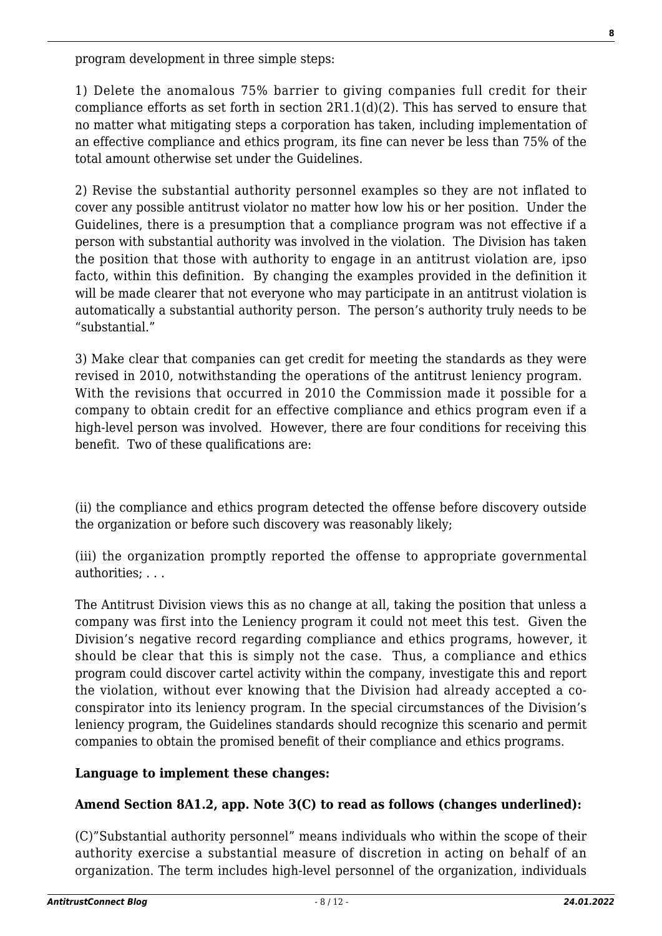program development in three simple steps:

1) Delete the anomalous 75% barrier to giving companies full credit for their compliance efforts as set forth in section 2R1.1(d)(2). This has served to ensure that no matter what mitigating steps a corporation has taken, including implementation of an effective compliance and ethics program, its fine can never be less than 75% of the total amount otherwise set under the Guidelines.

2) Revise the substantial authority personnel examples so they are not inflated to cover any possible antitrust violator no matter how low his or her position. Under the Guidelines, there is a presumption that a compliance program was not effective if a person with substantial authority was involved in the violation. The Division has taken the position that those with authority to engage in an antitrust violation are, ipso facto, within this definition. By changing the examples provided in the definition it will be made clearer that not everyone who may participate in an antitrust violation is automatically a substantial authority person. The person's authority truly needs to be "substantial."

3) Make clear that companies can get credit for meeting the standards as they were revised in 2010, notwithstanding the operations of the antitrust leniency program. With the revisions that occurred in 2010 the Commission made it possible for a company to obtain credit for an effective compliance and ethics program even if a high-level person was involved. However, there are four conditions for receiving this benefit. Two of these qualifications are:

(ii) the compliance and ethics program detected the offense before discovery outside the organization or before such discovery was reasonably likely;

(iii) the organization promptly reported the offense to appropriate governmental authorities; . . .

The Antitrust Division views this as no change at all, taking the position that unless a company was first into the Leniency program it could not meet this test. Given the Division's negative record regarding compliance and ethics programs, however, it should be clear that this is simply not the case. Thus, a compliance and ethics program could discover cartel activity within the company, investigate this and report the violation, without ever knowing that the Division had already accepted a coconspirator into its leniency program. In the special circumstances of the Division's leniency program, the Guidelines standards should recognize this scenario and permit companies to obtain the promised benefit of their compliance and ethics programs.

#### **Language to implement these changes:**

# **Amend Section 8A1.2, app. Note 3(C) to read as follows (changes underlined):**

(C)"Substantial authority personnel" means individuals who within the scope of their authority exercise a substantial measure of discretion in acting on behalf of an organization. The term includes high-level personnel of the organization, individuals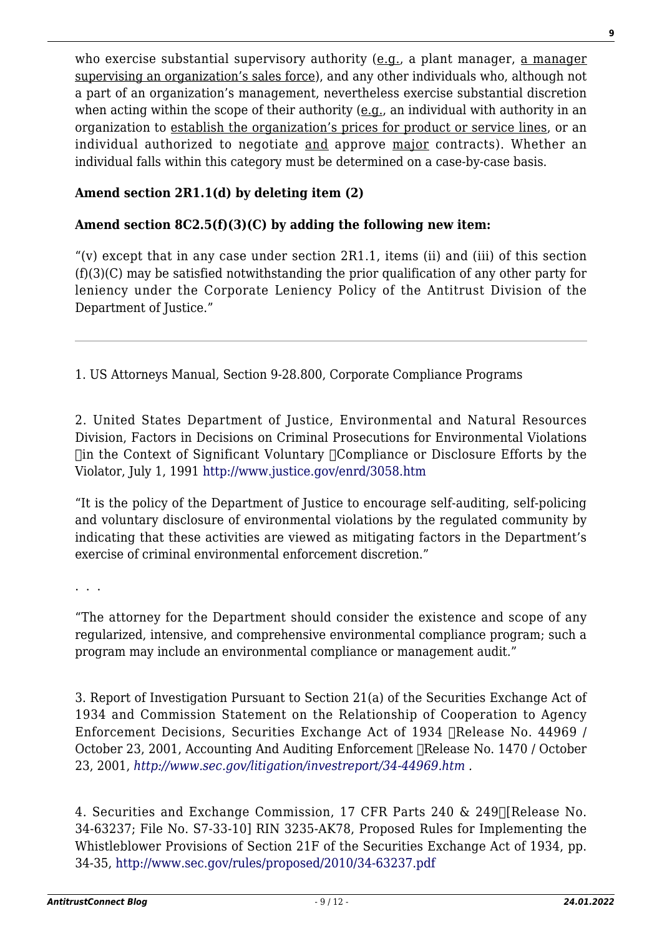who exercise substantial supervisory authority (e.g., a plant manager, a manager supervising an organization's sales force), and any other individuals who, although not a part of an organization's management, nevertheless exercise substantial discretion when acting within the scope of their authority ( $e.g.,$  an individual with authority in an organization to establish the organization's prices for product or service lines, or an individual authorized to negotiate and approve major contracts). Whether an individual falls within this category must be determined on a case-by-case basis.

# **Amend section 2R1.1(d) by deleting item (2)**

#### **Amend section 8C2.5(f)(3)(C) by adding the following new item:**

"(v) except that in any case under section  $2R1.1$ , items (ii) and (iii) of this section (f)(3)(C) may be satisfied notwithstanding the prior qualification of any other party for leniency under the Corporate Leniency Policy of the Antitrust Division of the Department of Justice."

<span id="page-8-0"></span>1. US Attorneys Manual, Section 9-28.800, Corporate Compliance Programs

<span id="page-8-1"></span>2. United States Department of Justice, Environmental and Natural Resources Division, Factors in Decisions on Criminal Prosecutions for Environmental Violations  $\Box$ in the Context of Significant Voluntary  $\Box$ Compliance or Disclosure Efforts by the Violator, July 1, 1991<http://www.justice.gov/enrd/3058.htm>

"It is the policy of the Department of Justice to encourage self-auditing, self-policing and voluntary disclosure of environmental violations by the regulated community by indicating that these activities are viewed as mitigating factors in the Department's exercise of criminal environmental enforcement discretion."

. . .

"The attorney for the Department should consider the existence and scope of any regularized, intensive, and comprehensive environmental compliance program; such a program may include an environmental compliance or management audit."

<span id="page-8-2"></span>3. Report of Investigation Pursuant to Section 21(a) of the Securities Exchange Act of 1934 and Commission Statement on the Relationship of Cooperation to Agency Enforcement Decisions, Securities Exchange Act of 1934 
Release No. 44969 / October 23, 2001, Accounting And Auditing Enforcement 
Release No. 1470 / October 23, 2001, *<http://www.sec.gov/litigation/investreport/34-44969.htm> .*

<span id="page-8-3"></span>4. Securities and Exchange Commission, 17 CFR Parts 240 & 249
[Release No. 34-63237; File No. S7-33-10] RIN 3235-AK78, Proposed Rules for Implementing the Whistleblower Provisions of Section 21F of the Securities Exchange Act of 1934, pp. 34-35,<http://www.sec.gov/rules/proposed/2010/34-63237.pdf>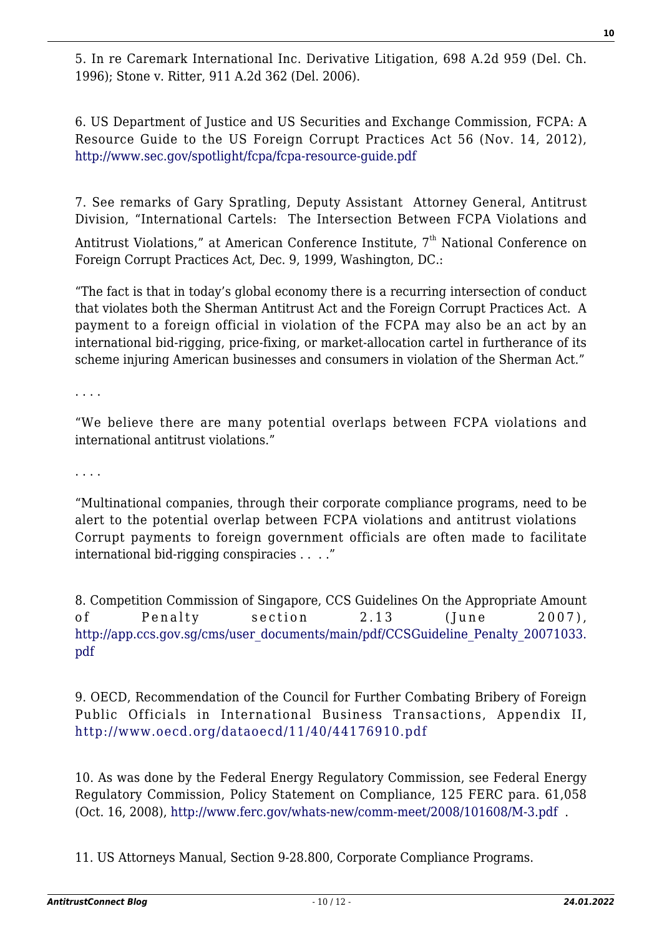<span id="page-9-0"></span>5. In re Caremark International Inc. Derivative Litigation, 698 A.2d 959 (Del. Ch. 1996); Stone v. Ritter, 911 A.2d 362 (Del. 2006).

<span id="page-9-1"></span>6. US Department of Justice and US Securities and Exchange Commission, FCPA: A Resource Guide to the US Foreign Corrupt Practices Act 56 (Nov. 14, 2012), <http://www.sec.gov/spotlight/fcpa/fcpa-resource-guide.pdf>

<span id="page-9-2"></span>7. See remarks of Gary Spratling, Deputy Assistant Attorney General, Antitrust Division, "International Cartels: The Intersection Between FCPA Violations and

Antitrust Violations," at American Conference Institute, 7<sup>th</sup> National Conference on Foreign Corrupt Practices Act, Dec. 9, 1999, Washington, DC.:

"The fact is that in today's global economy there is a recurring intersection of conduct that violates both the Sherman Antitrust Act and the Foreign Corrupt Practices Act. A payment to a foreign official in violation of the FCPA may also be an act by an international bid-rigging, price-fixing, or market-allocation cartel in furtherance of its scheme injuring American businesses and consumers in violation of the Sherman Act."

. . . .

"We believe there are many potential overlaps between FCPA violations and international antitrust violations."

. . . .

"Multinational companies, through their corporate compliance programs, need to be alert to the potential overlap between FCPA violations and antitrust violations Corrupt payments to foreign government officials are often made to facilitate international bid-rigging conspiracies . . . ."

<span id="page-9-3"></span>8. Competition Commission of Singapore, CCS Guidelines On the Appropriate Amount of Penalty section 2.13 (June 2007), [http://app.ccs.gov.sg/cms/user\\_documents/main/pdf/CCSGuideline\\_Penalty\\_20071033.](http://app.ccs.gov.sg/cms/user_documents/main/pdf/CCSGuideline_Penalty_20071033.pdf) [pdf](http://app.ccs.gov.sg/cms/user_documents/main/pdf/CCSGuideline_Penalty_20071033.pdf)

<span id="page-9-4"></span>9. OECD, Recommendation of the Council for Further Combating Bribery of Foreign Public Officials in International Business Transactions, Appendix II, <http://www.oecd.org/dataoecd/11/40/44176910.pdf>

<span id="page-9-5"></span>10. As was done by the Federal Energy Regulatory Commission, see Federal Energy Regulatory Commission, Policy Statement on Compliance, 125 FERC para. 61,058 (Oct. 16, 2008), <http://www.ferc.gov/whats-new/comm-meet/2008/101608/M-3.pdf>.

<span id="page-9-6"></span>11. US Attorneys Manual, Section 9-28.800, Corporate Compliance Programs.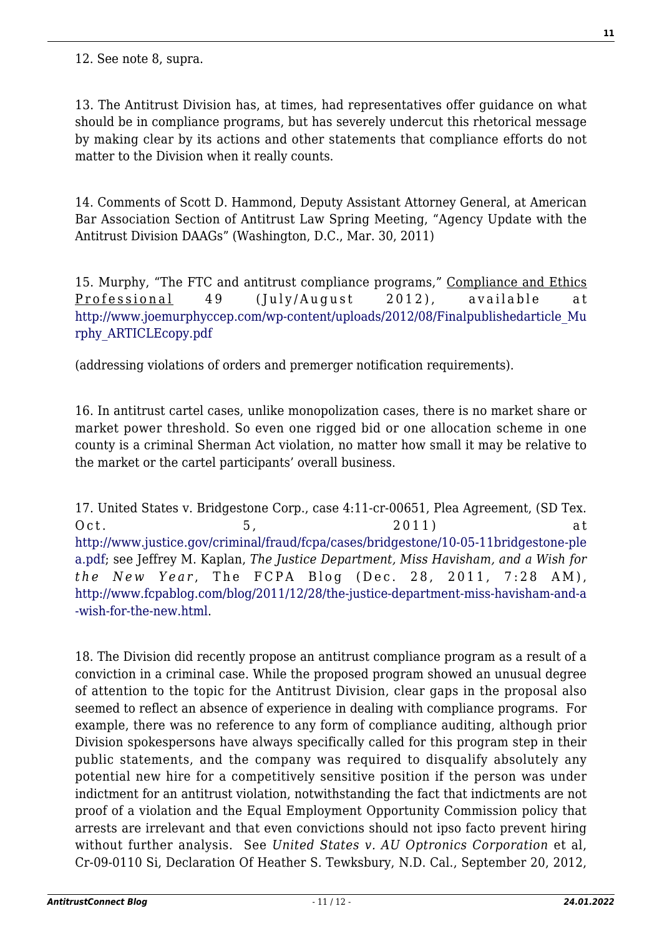<span id="page-10-0"></span>12. See note 8, supra.

<span id="page-10-1"></span>13. The Antitrust Division has, at times, had representatives offer guidance on what should be in compliance programs, but has severely undercut this rhetorical message by making clear by its actions and other statements that compliance efforts do not matter to the Division when it really counts.

<span id="page-10-2"></span>14. Comments of Scott D. Hammond, Deputy Assistant Attorney General, at American Bar Association Section of Antitrust Law Spring Meeting, "Agency Update with the Antitrust Division DAAGs" (Washington, D.C., Mar. 30, 2011)

<span id="page-10-3"></span>15. Murphy, "The FTC and antitrust compliance programs," Compliance and Ethics Professional 49 (July/August 2012), available at [http://www.joemurphyccep.com/wp-content/uploads/2012/08/Finalpublishedarticle\\_Mu](http://www.joemurphyccep.com/wp-content/uploads/2012/08/Finalpublishedarticle_Murphy_ARTICLEcopy.pdf) [rphy\\_ARTICLEcopy.pdf](http://www.joemurphyccep.com/wp-content/uploads/2012/08/Finalpublishedarticle_Murphy_ARTICLEcopy.pdf)

(addressing violations of orders and premerger notification requirements).

<span id="page-10-4"></span>16. In antitrust cartel cases, unlike monopolization cases, there is no market share or market power threshold. So even one rigged bid or one allocation scheme in one county is a criminal Sherman Act violation, no matter how small it may be relative to the market or the cartel participants' overall business.

<span id="page-10-5"></span>17. United States v. Bridgestone Corp., case 4:11-cr-00651, Plea Agreement, (SD Tex. Oct. 5, 2011) at [http://www.justice.gov/criminal/fraud/fcpa/cases/bridgestone/10-05-11bridgestone-ple](http://www.justice.gov/criminal/fraud/fcpa/cases/bridgestone/10-05-11bridgestone-plea.pdf) [a.pdf;](http://www.justice.gov/criminal/fraud/fcpa/cases/bridgestone/10-05-11bridgestone-plea.pdf) see Jeffrey M. Kaplan, *The Justice Department, Miss Havisham, and a Wish for the New Year* , The FCPA Blog (Dec. 28, 2011, 7:28 AM), [http://www.fcpablog.com/blog/2011/12/28/the-justice-department-miss-havisham-and-a](http://www.fcpablog.com/blog/2011/12/28/the-justice-department-miss-havisham-and-a-wish-for-the-new.html) [-wish-for-the-new.html.](http://www.fcpablog.com/blog/2011/12/28/the-justice-department-miss-havisham-and-a-wish-for-the-new.html)

<span id="page-10-6"></span>18. The Division did recently propose an antitrust compliance program as a result of a conviction in a criminal case. While the proposed program showed an unusual degree of attention to the topic for the Antitrust Division, clear gaps in the proposal also seemed to reflect an absence of experience in dealing with compliance programs. For example, there was no reference to any form of compliance auditing, although prior Division spokespersons have always specifically called for this program step in their public statements, and the company was required to disqualify absolutely any potential new hire for a competitively sensitive position if the person was under indictment for an antitrust violation, notwithstanding the fact that indictments are not proof of a violation and the Equal Employment Opportunity Commission policy that arrests are irrelevant and that even convictions should not ipso facto prevent hiring without further analysis. See *United States v. AU Optronics Corporation* et al, Cr-09-0110 Si, Declaration Of Heather S. Tewksbury, N.D. Cal., September 20, 2012,